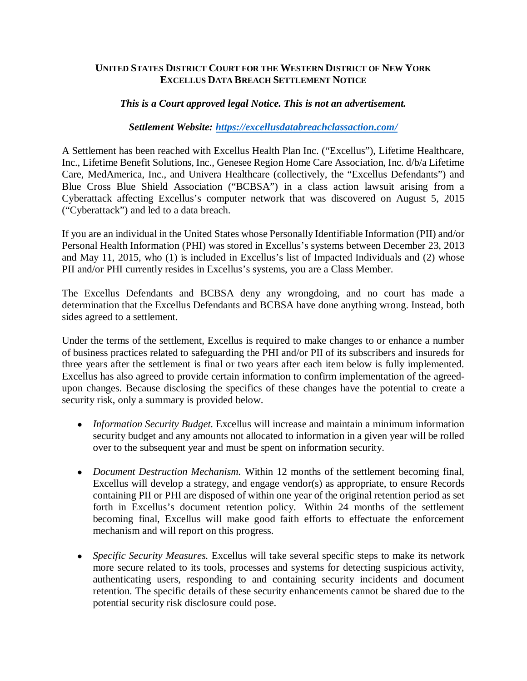## **UNITED STATES DISTRICT COURT FOR THE WESTERN DISTRICT OF NEW YORK EXCELLUS DATA BREACH SETTLEMENT NOTICE**

## *This is a Court approved legal Notice. This is not an advertisement.*

## *Settlement Website: <https://excellusdatabreachclassaction.com/>*

A Settlement has been reached with Excellus Health Plan Inc. ("Excellus"), Lifetime Healthcare, Inc., Lifetime Benefit Solutions, Inc., Genesee Region Home Care Association, Inc. d/b/a Lifetime Care, MedAmerica, Inc., and Univera Healthcare (collectively, the "Excellus Defendants") and Blue Cross Blue Shield Association ("BCBSA") in a class action lawsuit arising from a Cyberattack affecting Excellus's computer network that was discovered on August 5, 2015 ("Cyberattack") and led to a data breach.

If you are an individual in the United States whose Personally Identifiable Information (PII) and/or Personal Health Information (PHI) was stored in Excellus's systems between December 23, 2013 and May 11, 2015, who (1) is included in Excellus's list of Impacted Individuals and (2) whose PII and/or PHI currently resides in Excellus's systems, you are a Class Member.

The Excellus Defendants and BCBSA deny any wrongdoing, and no court has made a determination that the Excellus Defendants and BCBSA have done anything wrong. Instead, both sides agreed to a settlement.

Under the terms of the settlement, Excellus is required to make changes to or enhance a number of business practices related to safeguarding the PHI and/or PII of its subscribers and insureds for three years after the settlement is final or two years after each item below is fully implemented. Excellus has also agreed to provide certain information to confirm implementation of the agreedupon changes. Because disclosing the specifics of these changes have the potential to create a security risk, only a summary is provided below.

- *Information Security Budget.* Excellus will increase and maintain a minimum information security budget and any amounts not allocated to information in a given year will be rolled over to the subsequent year and must be spent on information security.
- x *Document Destruction Mechanism.* Within 12 months of the settlement becoming final, Excellus will develop a strategy, and engage vendor(s) as appropriate, to ensure Records containing PII or PHI are disposed of within one year of the original retention period as set forth in Excellus's document retention policy. Within 24 months of the settlement becoming final, Excellus will make good faith efforts to effectuate the enforcement mechanism and will report on this progress.
- x *Specific Security Measures.* Excellus will take several specific steps to make its network more secure related to its tools, processes and systems for detecting suspicious activity, authenticating users, responding to and containing security incidents and document retention. The specific details of these security enhancements cannot be shared due to the potential security risk disclosure could pose.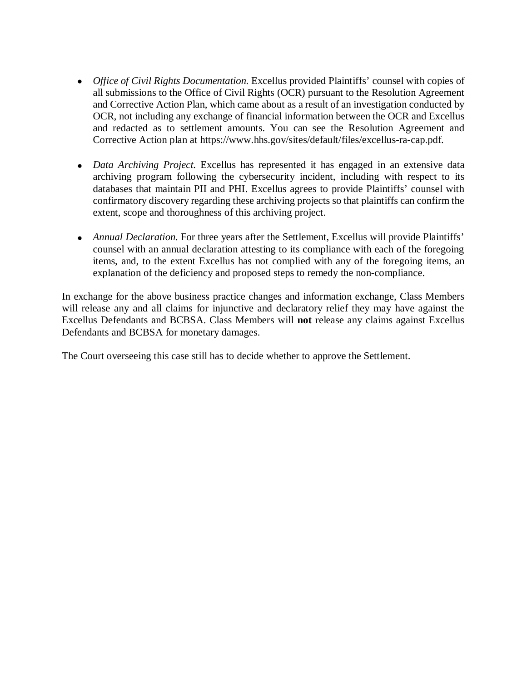- *Office of Civil Rights Documentation*. Excellus provided Plaintiffs' counsel with copies of all submissions to the Office of Civil Rights (OCR) pursuant to the Resolution Agreement and Corrective Action Plan, which came about as a result of an investigation conducted by OCR, not including any exchange of financial information between the OCR and Excellus and redacted as to settlement amounts. You can see the Resolution Agreement and Corrective Action plan at <https://www.hhs.gov/sites/default/files/excellus-ra-cap.pdf.>
- *Data Archiving Project*. Excellus has represented it has engaged in an extensive data archiving program following the cybersecurity incident, including with respect to its databases that maintain PII and PHI. Excellus agrees to provide Plaintiffs' counsel with confirmatory discovery regarding these archiving projects so that plaintiffs can confirm the extent, scope and thoroughness of this archiving project.
- *Annual Declaration*. For three years after the Settlement, Excellus will provide Plaintiffs' counsel with an annual declaration attesting to its compliance with each of the foregoing items, and, to the extent Excellus has not complied with any of the foregoing items, an explanation of the deficiency and proposed steps to remedy the non-compliance.

In exchange for the above business practice changes and information exchange, Class Members will release any and all claims for injunctive and declaratory relief they may have against the Excellus Defendants and BCBSA. Class Members will **not** release any claims against Excellus Defendants and BCBSA for monetary damages.

The Court overseeing this case still has to decide whether to approve the Settlement.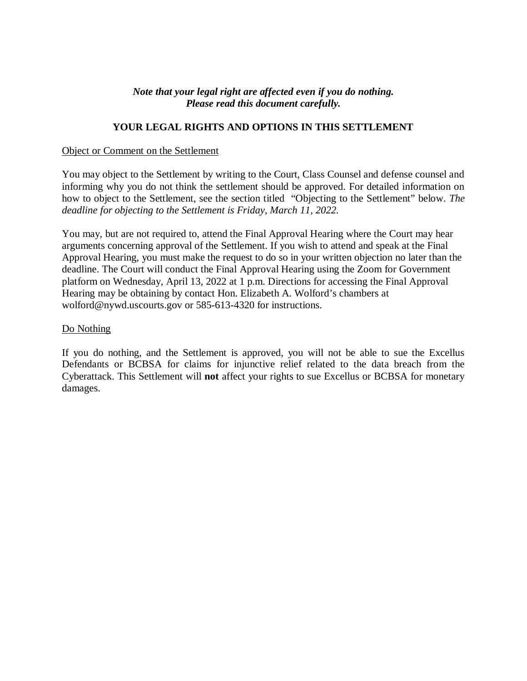## *Note that your legal right are affected even if you do nothing. Please read this document carefully.*

## **YOUR LEGAL RIGHTS AND OPTIONS IN THIS SETTLEMENT**

### Object or Comment on the Settlement

You may object to the Settlement by writing to the Court, Class Counsel and defense counsel and informing why you do not think the settlement should be approved. For detailed information on how to object to the Settlement, see the section titled "Objecting to the Settlement" below. *The deadline for objecting to the Settlement is Friday, March 11, 2022.*

You may, but are not required to, attend the Final Approval Hearing where the Court may hear arguments concerning approval of the Settlement. If you wish to attend and speak at the Final Approval Hearing, you must make the request to do so in your written objection no later than the deadline. The Court will conduct the Final Approval Hearing using the Zoom for Government platform on Wednesday, April 13, 2022 at 1 p.m. Directions for accessing the Final Approval Hearing may be obtaining by contact Hon. Elizabeth A. Wolford's chambers at [wolford@nywd.uscourts.gov](mailto:wolford@nywd.uscourts.gov) or 585-613-4320 for instructions.

### Do Nothing

If you do nothing, and the Settlement is approved, you will not be able to sue the Excellus Defendants or BCBSA for claims for injunctive relief related to the data breach from the Cyberattack. This Settlement will **not** affect your rights to sue Excellus or BCBSA for monetary damages.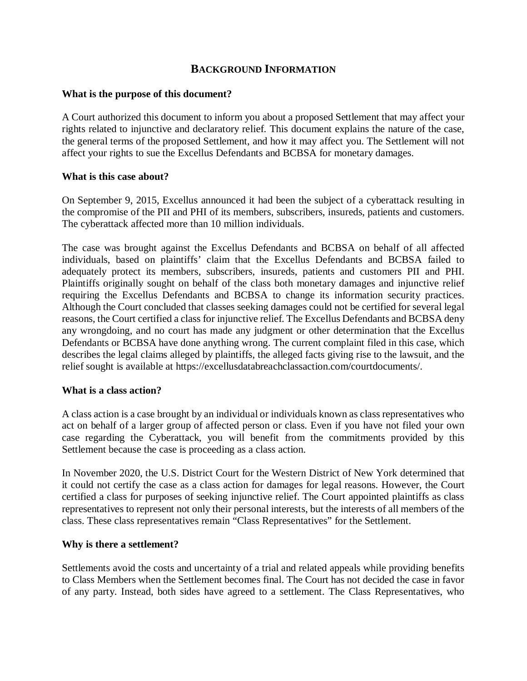# **BACKGROUND INFORMATION**

### **What is the purpose of this document?**

A Court authorized this document to inform you about a proposed Settlement that may affect your rights related to injunctive and declaratory relief. This document explains the nature of the case, the general terms of the proposed Settlement, and how it may affect you. The Settlement will not affect your rights to sue the Excellus Defendants and BCBSA for monetary damages.

### **What is this case about?**

On September 9, 2015, Excellus announced it had been the subject of a cyberattack resulting in the compromise of the PII and PHI of its members, subscribers, insureds, patients and customers. The cyberattack affected more than 10 million individuals.

The case was brought against the Excellus Defendants and BCBSA on behalf of all affected individuals, based on plaintiffs' claim that the Excellus Defendants and BCBSA failed to adequately protect its members, subscribers, insureds, patients and customers PII and PHI. Plaintiffs originally sought on behalf of the class both monetary damages and injunctive relief requiring the Excellus Defendants and BCBSA to change its information security practices. Although the Court concluded that classes seeking damages could not be certified for several legal reasons, the Court certified a class for injunctive relief. The Excellus Defendants and BCBSA deny any wrongdoing, and no court has made any judgment or other determination that the Excellus Defendants or BCBSA have done anything wrong. The current complaint filed in this case, which describes the legal claims alleged by plaintiffs, the alleged facts giving rise to the lawsuit, and the relief sought is available at <https://excellusdatabreachclassaction.com/courtdocuments/.>

### **What is a class action?**

A class action is a case brought by an individual or individuals known as class representatives who act on behalf of a larger group of affected person or class. Even if you have not filed your own case regarding the Cyberattack, you will benefit from the commitments provided by this Settlement because the case is proceeding as a class action.

In November 2020, the U.S. District Court for the Western District of New York determined that it could not certify the case as a class action for damages for legal reasons. However, the Court certified a class for purposes of seeking injunctive relief. The Court appointed plaintiffs as class representatives to represent not only their personal interests, but the interests of all members of the class. These class representatives remain "Class Representatives" for the Settlement.

### **Why is there a settlement?**

Settlements avoid the costs and uncertainty of a trial and related appeals while providing benefits to Class Members when the Settlement becomes final. The Court has not decided the case in favor of any party. Instead, both sides have agreed to a settlement. The Class Representatives, who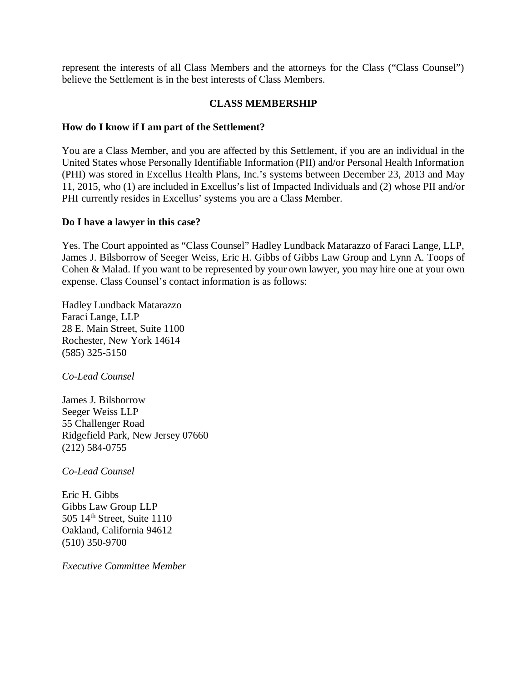represent the interests of all Class Members and the attorneys for the Class ("Class Counsel") believe the Settlement is in the best interests of Class Members.

## **CLASS MEMBERSHIP**

## **How do I know if I am part of the Settlement?**

You are a Class Member, and you are affected by this Settlement, if you are an individual in the United States whose Personally Identifiable Information (PII) and/or Personal Health Information (PHI) was stored in Excellus Health Plans, Inc.'s systems between December 23, 2013 and May 11, 2015, who (1) are included in Excellus's list of Impacted Individuals and (2) whose PII and/or PHI currently resides in Excellus' systems you are a Class Member.

### **Do I have a lawyer in this case?**

Yes. The Court appointed as "Class Counsel" Hadley Lundback Matarazzo of Faraci Lange, LLP, James J. Bilsborrow of Seeger Weiss, Eric H. Gibbs of Gibbs Law Group and Lynn A. Toops of Cohen & Malad. If you want to be represented by your own lawyer, you may hire one at your own expense. Class Counsel's contact information is as follows:

Hadley Lundback Matarazzo Faraci Lange, LLP 28 E. Main Street, Suite 1100 Rochester, New York 14614 (585) 325-5150

*Co-Lead Counsel*

James J. Bilsborrow Seeger Weiss LLP 55 Challenger Road Ridgefield Park, New Jersey 07660 (212) 584-0755

*Co-Lead Counsel*

Eric H. Gibbs Gibbs Law Group LLP 505 14th Street, Suite 1110 Oakland, California 94612 (510) 350-9700

*Executive Committee Member*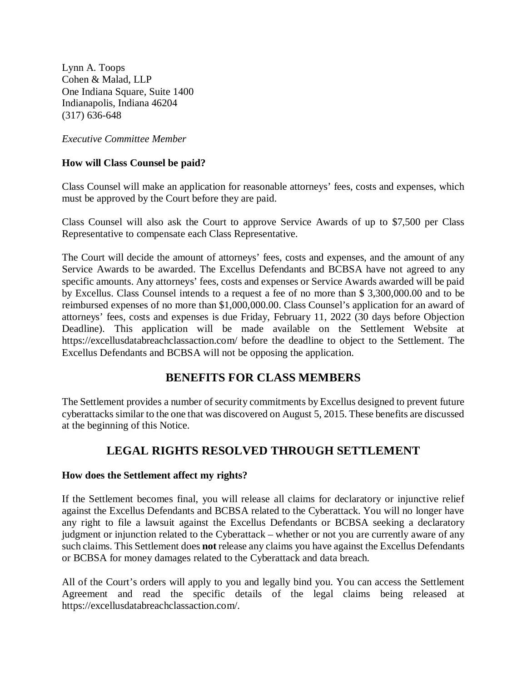Lynn A. Toops Cohen & Malad, LLP One Indiana Square, Suite 1400 Indianapolis, Indiana 46204 (317) 636-648

*Executive Committee Member*

# **How will Class Counsel be paid?**

Class Counsel will make an application for reasonable attorneys' fees, costs and expenses, which must be approved by the Court before they are paid.

Class Counsel will also ask the Court to approve Service Awards of up to \$7,500 per Class Representative to compensate each Class Representative.

The Court will decide the amount of attorneys' fees, costs and expenses, and the amount of any Service Awards to be awarded. The Excellus Defendants and BCBSA have not agreed to any specific amounts. Any attorneys' fees, costs and expenses or Service Awards awarded will be paid by Excellus. Class Counsel intends to a request a fee of no more than \$ 3,300,000.00 and to be reimbursed expenses of no more than \$1,000,000.00. Class Counsel's application for an award of attorneys' fees, costs and expenses is due Friday, February 11, 2022 (30 days before Objection Deadline). This application will be made available on the Settlement Website at <https://excellusdatabreachclassaction.com/>before the deadline to object to the Settlement. The Excellus Defendants and BCBSA will not be opposing the application.

# **BENEFITS FOR CLASS MEMBERS**

The Settlement provides a number of security commitments by Excellus designed to prevent future cyberattacks similar to the one that was discovered on August 5, 2015. These benefits are discussed at the beginning of this Notice.

# **LEGAL RIGHTS RESOLVED THROUGH SETTLEMENT**

### **How does the Settlement affect my rights?**

If the Settlement becomes final, you will release all claims for declaratory or injunctive relief against the Excellus Defendants and BCBSA related to the Cyberattack. You will no longer have any right to file a lawsuit against the Excellus Defendants or BCBSA seeking a declaratory judgment or injunction related to the Cyberattack – whether or not you are currently aware of any such claims. This Settlement does **not** release any claims you have against the Excellus Defendants or BCBSA for money damages related to the Cyberattack and data breach.

All of the Court's orders will apply to you and legally bind you. You can access the Settlement Agreement and read the specific details of the legal claims being released at <https://excellusdatabreachclassaction.com/.>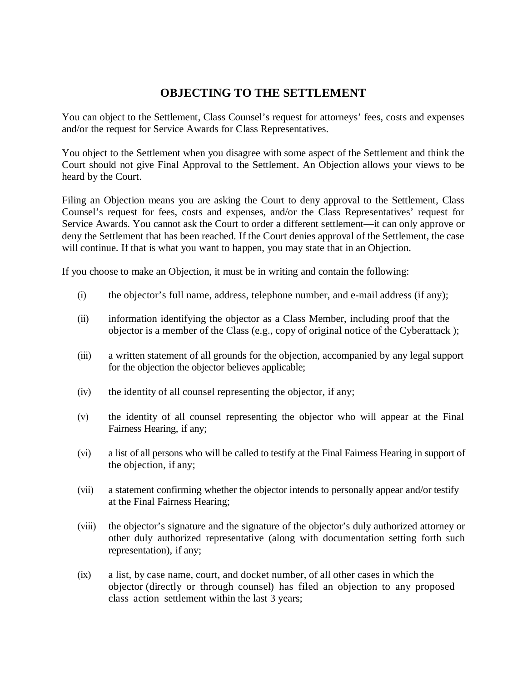# **OBJECTING TO THE SETTLEMENT**

You can object to the Settlement, Class Counsel's request for attorneys' fees, costs and expenses and/or the request for Service Awards for Class Representatives.

You object to the Settlement when you disagree with some aspect of the Settlement and think the Court should not give Final Approval to the Settlement. An Objection allows your views to be heard by the Court.

Filing an Objection means you are asking the Court to deny approval to the Settlement, Class Counsel's request for fees, costs and expenses, and/or the Class Representatives' request for Service Awards. You cannot ask the Court to order a different settlement—it can only approve or deny the Settlement that has been reached. If the Court denies approval of the Settlement, the case will continue. If that is what you want to happen, you may state that in an Objection.

If you choose to make an Objection, it must be in writing and contain the following:

- (i) the objector's full name, address, telephone number, and e-mail address (if any);
- (ii) information identifying the objector as a Class Member, including proof that the objector is a member of the Class (e.g., copy of original notice of the Cyberattack );
- (iii) a written statement of all grounds for the objection, accompanied by any legal support for the objection the objector believes applicable;
- (iv) the identity of all counsel representing the objector, if any;
- (v) the identity of all counsel representing the objector who will appear at the Final Fairness Hearing, if any;
- (vi) a list of all persons who will be called to testify at the Final Fairness Hearing in support of the objection, if any;
- (vii) a statement confirming whether the objector intends to personally appear and/or testify at the Final Fairness Hearing;
- (viii) the objector's signature and the signature of the objector's duly authorized attorney or other duly authorized representative (along with documentation setting forth such representation), if any;
- (ix) a list, by case name, court, and docket number, of all other cases in which the objector (directly or through counsel) has filed an objection to any proposed class action settlement within the last 3 years;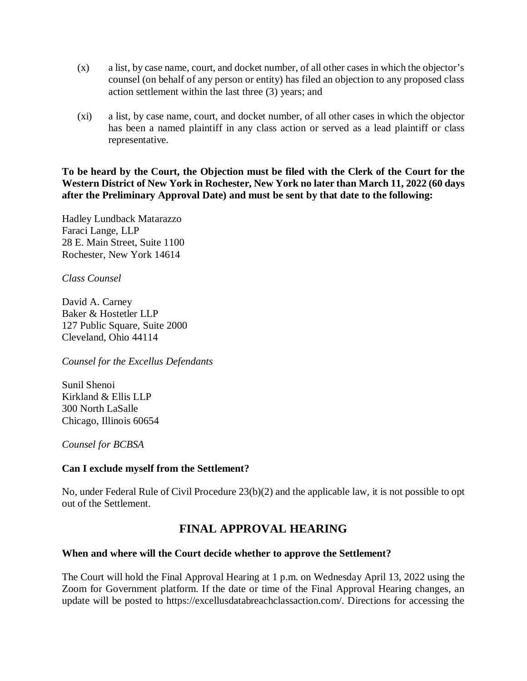- (x) a list, by case name, court, and docket number, of all other cases in which the objector's counsel (on behalf of any person or entity) has filed an objection to any proposed class action settlement within the last three (3) years; and
- (xi) a list, by case name, court, and docket number, of all other cases in which the objector has been a named plaintiff in any class action or served as a lead plaintiff or class representative.

**To be heard by the Court, the Objection must be filed with the Clerk of the Court for the Western District of New York in Rochester, New York no later than March 11, 2022 (60 days after the Preliminary Approval Date) and must be sent by that date to the following:**

Hadley Lundback Matarazzo Faraci Lange, LLP 28 E. Main Street, Suite 1100 Rochester, New York 14614

*Class Counsel*

David A. Carney Baker & Hostetler LLP 127 Public Square, Suite 2000 Cleveland, Ohio 44114

*Counsel for the Excellus Defendants*

Sunil Shenoi Kirkland & Ellis LLP 300 North LaSalle Chicago, Illinois 60654

*Counsel for BCBSA*

# **Can I exclude myself from the Settlement?**

No, under Federal Rule of Civil Procedure 23(b)(2) and the applicable law, it is not possible to opt out of the Settlement.

# **FINAL APPROVAL HEARING**

### **When and where will the Court decide whether to approve the Settlement?**

The Court will hold the Final Approval Hearing at 1 p.m. on Wednesday April 13, 2022 using the Zoom for Government platform. If the date or time of the Final Approval Hearing changes, an update will be posted to <https://excellusdatabreachclassaction.com/.> Directions for accessing the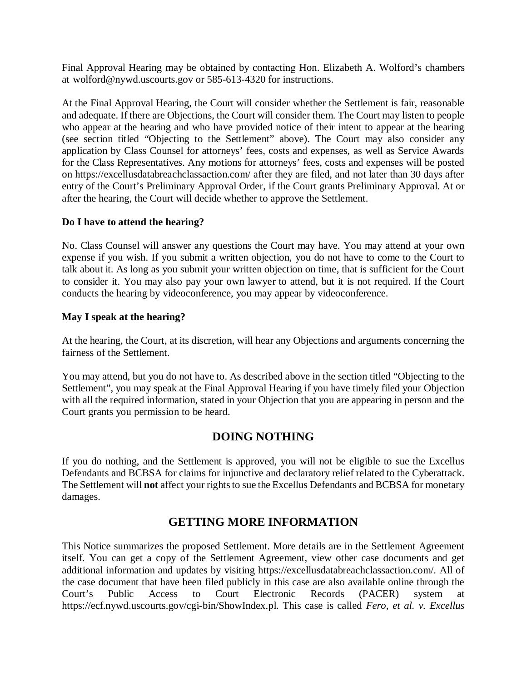Final Approval Hearing may be obtained by contacting Hon. Elizabeth A. Wolford's chambers at [wolford@nywd.uscourts.gov](mailto:wolford@nywd.uscourts.gov) or 585-613-4320 for instructions.

At the Final Approval Hearing, the Court will consider whether the Settlement is fair, reasonable and adequate. If there are Objections, the Court will consider them. The Court may listen to people who appear at the hearing and who have provided notice of their intent to appear at the hearing (see section titled "Objecting to the Settlement" above). The Court may also consider any application by Class Counsel for attorneys' fees, costs and expenses, as well as Service Awards for the Class Representatives. Any motions for attorneys' fees, costs and expenses will be posted on<https://excellusdatabreachclassaction.com/> after they are filed, and not later than 30 days after entry of the Court's Preliminary Approval Order, if the Court grants Preliminary Approval. At or after the hearing, the Court will decide whether to approve the Settlement.

## **Do I have to attend the hearing?**

No. Class Counsel will answer any questions the Court may have. You may attend at your own expense if you wish. If you submit a written objection, you do not have to come to the Court to talk about it. As long as you submit your written objection on time, that is sufficient for the Court to consider it. You may also pay your own lawyer to attend, but it is not required. If the Court conducts the hearing by videoconference, you may appear by videoconference.

## **May I speak at the hearing?**

At the hearing, the Court, at its discretion, will hear any Objections and arguments concerning the fairness of the Settlement.

You may attend, but you do not have to. As described above in the section titled "Objecting to the Settlement", you may speak at the Final Approval Hearing if you have timely filed your Objection with all the required information, stated in your Objection that you are appearing in person and the Court grants you permission to be heard.

# **DOING NOTHING**

If you do nothing, and the Settlement is approved, you will not be eligible to sue the Excellus Defendants and BCBSA for claims for injunctive and declaratory relief related to the Cyberattack. The Settlement will **not** affect your rights to sue the Excellus Defendants and BCBSA for monetary damages.

# **GETTING MORE INFORMATION**

This Notice summarizes the proposed Settlement. More details are in the Settlement Agreement itself. You can get a copy of the Settlement Agreement, view other case documents and get additional information and updates by visiting <https://excellusdatabreachclassaction.com/.>All of the case document that have been filed publicly in this case are also available online through the Court's Public Access to Court Electronic Records (PACER) system at <https://ecf.nywd.uscourts.gov/cgi-bin/ShowIndex.pl.>This case is called *Fero, et al. v. Excellus*